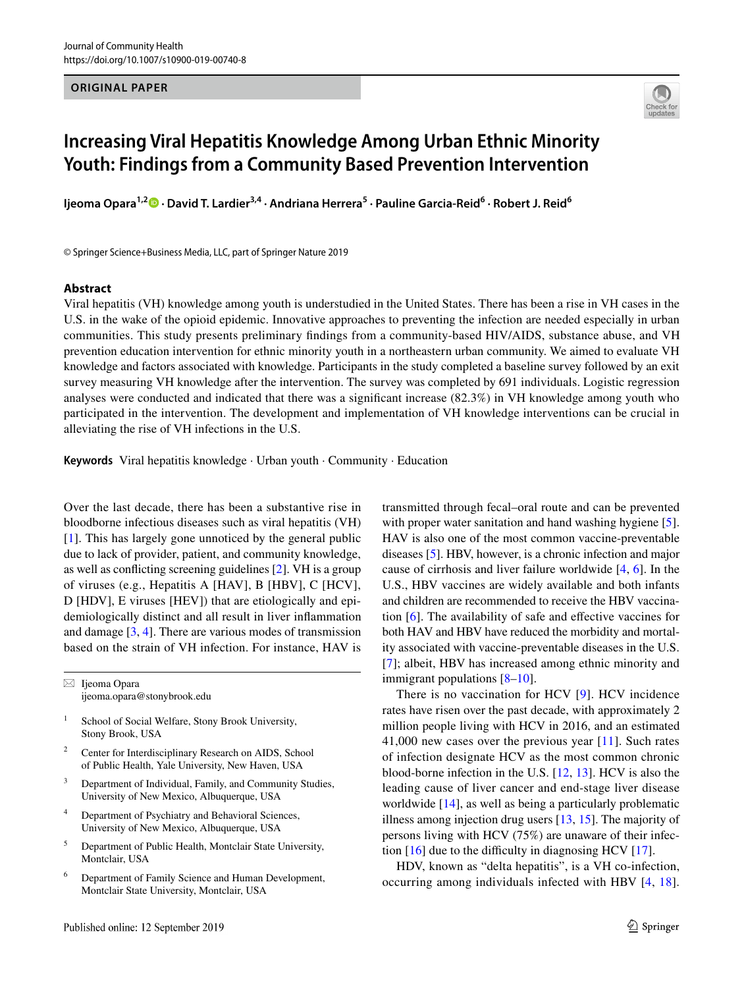#### **ORIGINAL PAPER**



# **Increasing Viral Hepatitis Knowledge Among Urban Ethnic Minority Youth: Findings from a Community Based Prevention Intervention**

**Ijeoma Opara1,2 · David T. Lardier3,4 · Andriana Herrera5 · Pauline Garcia‑Reid6 · Robert J. Reid6**

© Springer Science+Business Media, LLC, part of Springer Nature 2019

#### **Abstract**

Viral hepatitis (VH) knowledge among youth is understudied in the United States. There has been a rise in VH cases in the U.S. in the wake of the opioid epidemic. Innovative approaches to preventing the infection are needed especially in urban communities. This study presents preliminary fndings from a community-based HIV/AIDS, substance abuse, and VH prevention education intervention for ethnic minority youth in a northeastern urban community. We aimed to evaluate VH knowledge and factors associated with knowledge. Participants in the study completed a baseline survey followed by an exit survey measuring VH knowledge after the intervention. The survey was completed by 691 individuals. Logistic regression analyses were conducted and indicated that there was a signifcant increase (82.3%) in VH knowledge among youth who participated in the intervention. The development and implementation of VH knowledge interventions can be crucial in alleviating the rise of VH infections in the U.S.

**Keywords** Viral hepatitis knowledge · Urban youth · Community · Education

Over the last decade, there has been a substantive rise in bloodborne infectious diseases such as viral hepatitis (VH) [\[1\]](#page-7-0). This has largely gone unnoticed by the general public due to lack of provider, patient, and community knowledge, as well as conficting screening guidelines [\[2](#page-7-1)]. VH is a group of viruses (e.g., Hepatitis A [HAV], B [HBV], C [HCV], D [HDV], E viruses [HEV]) that are etiologically and epidemiologically distinct and all result in liver infammation and damage [\[3](#page-7-2), [4](#page-7-3)]. There are various modes of transmission based on the strain of VH infection. For instance, HAV is

 $\boxtimes$  Ijeoma Opara ijeoma.opara@stonybrook.edu

- <sup>1</sup> School of Social Welfare, Stony Brook University, Stony Brook, USA
- Center for Interdisciplinary Research on AIDS, School of Public Health, Yale University, New Haven, USA
- Department of Individual, Family, and Community Studies, University of New Mexico, Albuquerque, USA
- <sup>4</sup> Department of Psychiatry and Behavioral Sciences, University of New Mexico, Albuquerque, USA
- <sup>5</sup> Department of Public Health, Montclair State University, Montclair, USA
- <sup>6</sup> Department of Family Science and Human Development, Montclair State University, Montclair, USA

Published online: 12 September 2019

transmitted through fecal–oral route and can be prevented with proper water sanitation and hand washing hygiene [\[5](#page-7-4)]. HAV is also one of the most common vaccine-preventable diseases [\[5](#page-7-4)]. HBV, however, is a chronic infection and major cause of cirrhosis and liver failure worldwide [[4,](#page-7-3) [6](#page-7-5)]. In the U.S., HBV vaccines are widely available and both infants and children are recommended to receive the HBV vaccination [\[6](#page-7-5)]. The availability of safe and efective vaccines for both HAV and HBV have reduced the morbidity and mortality associated with vaccine-preventable diseases in the U.S. [[7\]](#page-7-6); albeit, HBV has increased among ethnic minority and immigrant populations [[8–](#page-7-7)[10\]](#page-7-8).

There is no vaccination for HCV [[9\]](#page-7-9). HCV incidence rates have risen over the past decade, with approximately 2 million people living with HCV in 2016, and an estimated 41,000 new cases over the previous year [[11](#page-7-10)]. Such rates of infection designate HCV as the most common chronic blood-borne infection in the U.S. [[12,](#page-7-11) [13](#page-7-12)]. HCV is also the leading cause of liver cancer and end-stage liver disease worldwide [[14\]](#page-7-13), as well as being a particularly problematic illness among injection drug users [\[13,](#page-7-12) [15](#page-7-14)]. The majority of persons living with HCV (75%) are unaware of their infection  $[16]$  $[16]$  due to the difficulty in diagnosing HCV  $[17]$  $[17]$ .

HDV, known as "delta hepatitis", is a VH co-infection, occurring among individuals infected with HBV [[4,](#page-7-3) [18](#page-7-17)].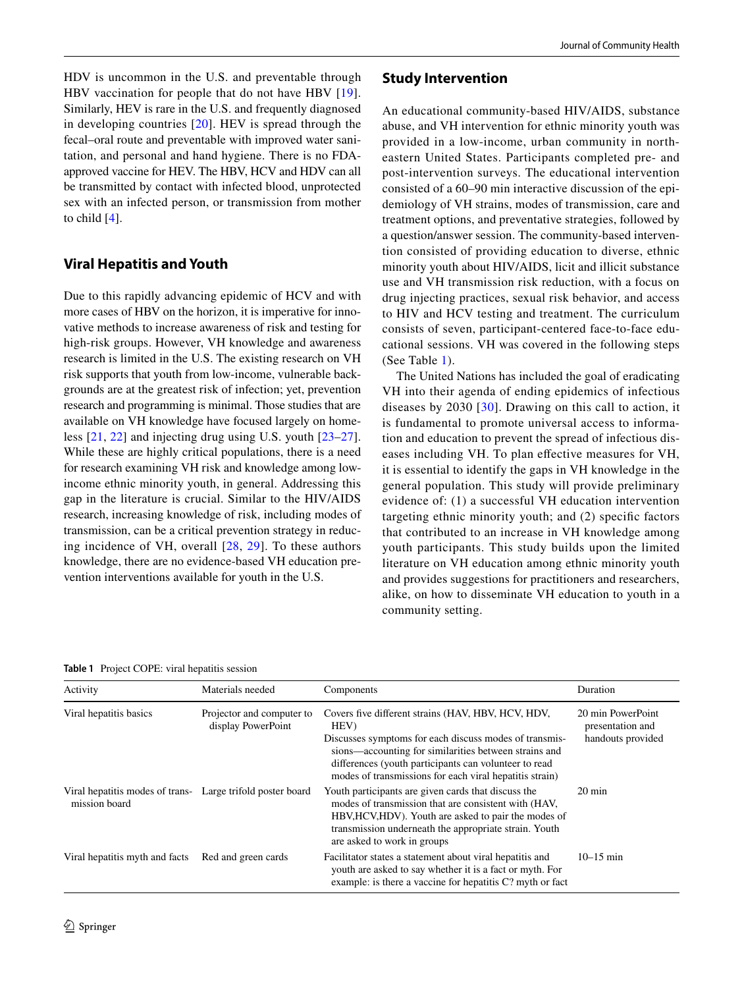HDV is uncommon in the U.S. and preventable through HBV vaccination for people that do not have HBV [[19](#page-7-18)]. Similarly, HEV is rare in the U.S. and frequently diagnosed in developing countries [\[20\]](#page-7-19). HEV is spread through the fecal–oral route and preventable with improved water sanitation, and personal and hand hygiene. There is no FDAapproved vaccine for HEV. The HBV, HCV and HDV can all be transmitted by contact with infected blood, unprotected sex with an infected person, or transmission from mother to child [\[4](#page-7-3)].

# **Viral Hepatitis and Youth**

Due to this rapidly advancing epidemic of HCV and with more cases of HBV on the horizon, it is imperative for innovative methods to increase awareness of risk and testing for high-risk groups. However, VH knowledge and awareness research is limited in the U.S. The existing research on VH risk supports that youth from low-income, vulnerable backgrounds are at the greatest risk of infection; yet, prevention research and programming is minimal. Those studies that are available on VH knowledge have focused largely on homeless [[21,](#page-7-20) [22](#page-7-21)] and injecting drug using U.S. youth [[23–](#page-7-22)[27](#page-7-23)]. While these are highly critical populations, there is a need for research examining VH risk and knowledge among lowincome ethnic minority youth, in general. Addressing this gap in the literature is crucial. Similar to the HIV/AIDS research, increasing knowledge of risk, including modes of transmission, can be a critical prevention strategy in reducing incidence of VH, overall [\[28,](#page-7-24) [29](#page-7-25)]. To these authors knowledge, there are no evidence-based VH education prevention interventions available for youth in the U.S.

# **Study Intervention**

An educational community-based HIV/AIDS, substance abuse, and VH intervention for ethnic minority youth was provided in a low-income, urban community in northeastern United States. Participants completed pre- and post-intervention surveys. The educational intervention consisted of a 60–90 min interactive discussion of the epidemiology of VH strains, modes of transmission, care and treatment options, and preventative strategies, followed by a question/answer session. The community-based intervention consisted of providing education to diverse, ethnic minority youth about HIV/AIDS, licit and illicit substance use and VH transmission risk reduction, with a focus on drug injecting practices, sexual risk behavior, and access to HIV and HCV testing and treatment. The curriculum consists of seven, participant-centered face-to-face educational sessions. VH was covered in the following steps (See Table [1](#page-1-0)).

The United Nations has included the goal of eradicating VH into their agenda of ending epidemics of infectious diseases by 2030 [[30\]](#page-7-26). Drawing on this call to action, it is fundamental to promote universal access to information and education to prevent the spread of infectious diseases including VH. To plan efective measures for VH, it is essential to identify the gaps in VH knowledge in the general population. This study will provide preliminary evidence of: (1) a successful VH education intervention targeting ethnic minority youth; and (2) specifc factors that contributed to an increase in VH knowledge among youth participants. This study builds upon the limited literature on VH education among ethnic minority youth and provides suggestions for practitioners and researchers, alike, on how to disseminate VH education to youth in a community setting.

<span id="page-1-0"></span>**Table 1** Project COPE: viral hepatitis session

| Activity                                                                    | Materials needed                                | Components                                                                                                                                                                                                                                                                                        | Duration                                                   |
|-----------------------------------------------------------------------------|-------------------------------------------------|---------------------------------------------------------------------------------------------------------------------------------------------------------------------------------------------------------------------------------------------------------------------------------------------------|------------------------------------------------------------|
| Viral hepatitis basics                                                      | Projector and computer to<br>display PowerPoint | Covers five different strains (HAV, HBV, HCV, HDV,<br>HEV)<br>Discusses symptoms for each discuss modes of transmis-<br>sions—accounting for similarities between strains and<br>differences (youth participants can volunteer to read<br>modes of transmissions for each viral hepatitis strain) | 20 min PowerPoint<br>presentation and<br>handouts provided |
| Viral hepatitis modes of trans- Large trifold poster board<br>mission board |                                                 | Youth participants are given cards that discuss the<br>modes of transmission that are consistent with (HAV,<br>HBV, HCV, HDV). Youth are asked to pair the modes of<br>transmission underneath the appropriate strain. Youth<br>are asked to work in groups                                       | $20 \text{ min}$                                           |
| Viral hepatitis myth and facts                                              | Red and green cards                             | Facilitator states a statement about viral hepatitis and<br>youth are asked to say whether it is a fact or myth. For<br>example: is there a vaccine for hepatitis C? myth or fact                                                                                                                 | $10 - 15$ min                                              |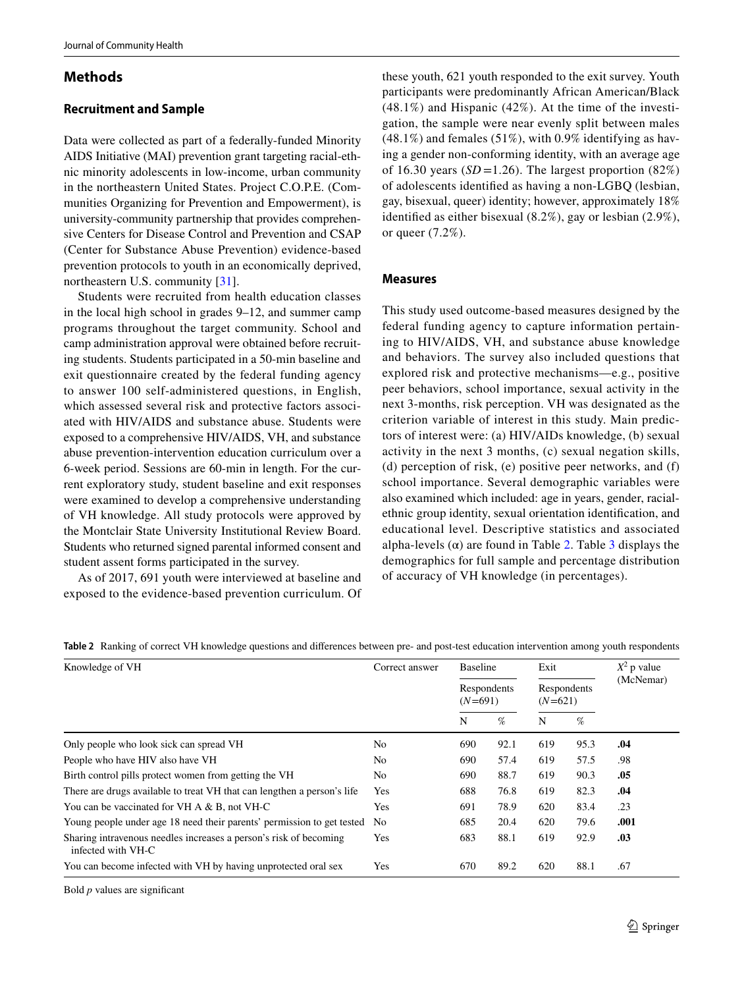# **Methods**

### **Recruitment and Sample**

Data were collected as part of a federally-funded Minority AIDS Initiative (MAI) prevention grant targeting racial-ethnic minority adolescents in low-income, urban community in the northeastern United States. Project C.O.P.E. (Communities Organizing for Prevention and Empowerment), is university-community partnership that provides comprehensive Centers for Disease Control and Prevention and CSAP (Center for Substance Abuse Prevention) evidence-based prevention protocols to youth in an economically deprived, northeastern U.S. community [[31\]](#page-7-27).

Students were recruited from health education classes in the local high school in grades 9–12, and summer camp programs throughout the target community. School and camp administration approval were obtained before recruiting students. Students participated in a 50-min baseline and exit questionnaire created by the federal funding agency to answer 100 self-administered questions, in English, which assessed several risk and protective factors associated with HIV/AIDS and substance abuse. Students were exposed to a comprehensive HIV/AIDS, VH, and substance abuse prevention-intervention education curriculum over a 6-week period. Sessions are 60-min in length. For the current exploratory study, student baseline and exit responses were examined to develop a comprehensive understanding of VH knowledge. All study protocols were approved by the Montclair State University Institutional Review Board. Students who returned signed parental informed consent and student assent forms participated in the survey.

As of 2017, 691 youth were interviewed at baseline and exposed to the evidence-based prevention curriculum. Of these youth, 621 youth responded to the exit survey. Youth participants were predominantly African American/Black (48.1%) and Hispanic (42%). At the time of the investigation, the sample were near evenly split between males  $(48.1\%)$  and females  $(51\%)$ , with 0.9% identifying as having a gender non-conforming identity, with an average age of 16.30 years ( $SD = 1.26$ ). The largest proportion (82%) of adolescents identifed as having a non-LGBQ (lesbian, gay, bisexual, queer) identity; however, approximately 18% identifed as either bisexual (8.2%), gay or lesbian (2.9%), or queer (7.2%).

### **Measures**

This study used outcome-based measures designed by the federal funding agency to capture information pertaining to HIV/AIDS, VH, and substance abuse knowledge and behaviors. The survey also included questions that explored risk and protective mechanisms—e.g., positive peer behaviors, school importance, sexual activity in the next 3-months, risk perception. VH was designated as the criterion variable of interest in this study. Main predictors of interest were: (a) HIV/AIDs knowledge, (b) sexual activity in the next 3 months, (c) sexual negation skills, (d) perception of risk, (e) positive peer networks, and (f) school importance. Several demographic variables were also examined which included: age in years, gender, racialethnic group identity, sexual orientation identifcation, and educational level. Descriptive statistics and associated alpha-levels  $(\alpha)$  are found in Table [2.](#page-2-0) Table [3](#page-3-0) displays the demographics for full sample and percentage distribution of accuracy of VH knowledge (in percentages).

<span id="page-2-0"></span>

|  |  |  |  |  | Table 2 Ranking of correct VH knowledge questions and differences between pre- and post-test education intervention among youth respondents |
|--|--|--|--|--|---------------------------------------------------------------------------------------------------------------------------------------------|
|--|--|--|--|--|---------------------------------------------------------------------------------------------------------------------------------------------|

| Knowledge of VH                                                                         | Correct answer | <b>Baseline</b><br>Respondents<br>$(N=691)$ |      | Exit<br>Respondents<br>$(N=621)$ |      | $X^2$ p value<br>(McNemar) |
|-----------------------------------------------------------------------------------------|----------------|---------------------------------------------|------|----------------------------------|------|----------------------------|
|                                                                                         |                |                                             |      |                                  |      |                            |
|                                                                                         |                | N                                           | %    | N                                | %    |                            |
| Only people who look sick can spread VH                                                 | No.            | 690                                         | 92.1 | 619                              | 95.3 | .04                        |
| People who have HIV also have VH                                                        | No.            | 690                                         | 57.4 | 619                              | 57.5 | .98                        |
| Birth control pills protect women from getting the VH                                   | No.            | 690                                         | 88.7 | 619                              | 90.3 | .05                        |
| There are drugs available to treat VH that can lengthen a person's life                 | Yes            | 688                                         | 76.8 | 619                              | 82.3 | .04                        |
| You can be vaccinated for VH A & B, not VH-C                                            | Yes            | 691                                         | 78.9 | 620                              | 83.4 | .23                        |
| Young people under age 18 need their parents' permission to get tested                  | N <sub>0</sub> | 685                                         | 20.4 | 620                              | 79.6 | .001                       |
| Sharing intravenous needles increases a person's risk of becoming<br>infected with VH-C | Yes            | 683                                         | 88.1 | 619                              | 92.9 | .03                        |
| You can become infected with VH by having unprotected oral sex                          | Yes            | 670                                         | 89.2 | 620                              | 88.1 | .67                        |

Bold *p* values are signifcant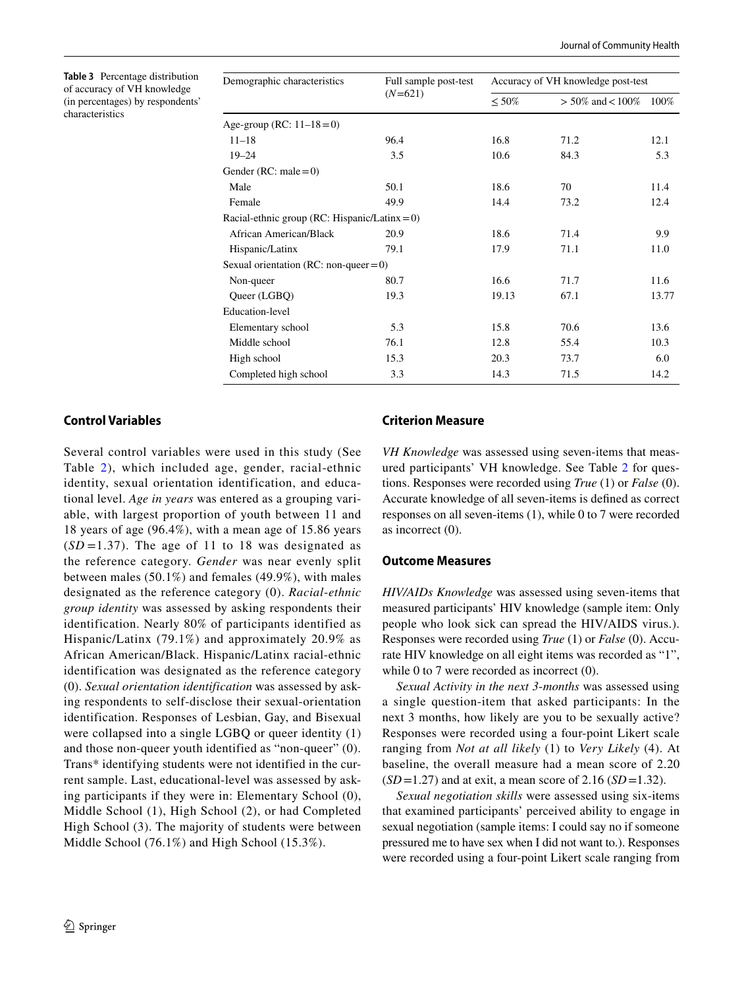<span id="page-3-0"></span>**Table 3** Percentage distribution of accuracy of VH knowledge (in percentages) by respondents' characteristics

| Demographic characteristics                      | Full sample post-test | Accuracy of VH knowledge post-test |                        |       |  |
|--------------------------------------------------|-----------------------|------------------------------------|------------------------|-------|--|
|                                                  | $(N=621)$             | $\leq 50\%$                        | $> 50\%$ and $< 100\%$ | 100%  |  |
| Age-group (RC: $11-18=0$ )                       |                       |                                    |                        |       |  |
| $11 - 18$                                        | 96.4                  | 16.8                               | 71.2                   | 12.1  |  |
| $19 - 24$                                        | 3.5                   | 10.6                               | 84.3                   | 5.3   |  |
| Gender (RC: male = $0$ )                         |                       |                                    |                        |       |  |
| Male                                             | 50.1                  | 18.6                               | 70                     | 11.4  |  |
| Female                                           | 49.9                  | 14.4                               | 73.2                   | 12.4  |  |
| Racial-ethnic group (RC: Hispanic/Latinx = $0$ ) |                       |                                    |                        |       |  |
| African American/Black                           | 20.9                  | 18.6                               | 71.4                   | 9.9   |  |
| Hispanic/Latinx                                  | 79.1                  | 17.9                               | 71.1                   | 11.0  |  |
| Sexual orientation (RC: non-queer = $0$ )        |                       |                                    |                        |       |  |
| Non-queer                                        | 80.7                  | 16.6                               | 71.7                   | 11.6  |  |
| Queer (LGBQ)                                     | 19.3                  | 19.13                              | 67.1                   | 13.77 |  |
| Education-level                                  |                       |                                    |                        |       |  |
| Elementary school                                | 5.3                   | 15.8                               | 70.6                   | 13.6  |  |
| Middle school                                    | 76.1                  | 12.8                               | 55.4                   | 10.3  |  |
| High school                                      | 15.3                  | 20.3                               | 73.7                   | 6.0   |  |
| Completed high school                            | 3.3                   | 14.3                               | 71.5                   | 14.2  |  |

# **Control Variables**

Several control variables were used in this study (See Table [2](#page-2-0)), which included age, gender, racial-ethnic identity, sexual orientation identification, and educational level. *Age in years* was entered as a grouping variable, with largest proportion of youth between 11 and 18 years of age (96.4%), with a mean age of 15.86 years  $(SD=1.37)$ . The age of 11 to 18 was designated as the reference category. *Gender* was near evenly split between males (50.1%) and females (49.9%), with males designated as the reference category (0). *Racial*-*ethnic group identity* was assessed by asking respondents their identification. Nearly 80% of participants identified as Hispanic/Latinx (79.1%) and approximately 20.9% as African American/Black. Hispanic/Latinx racial-ethnic identification was designated as the reference category (0). *Sexual orientation identification* was assessed by asking respondents to self-disclose their sexual-orientation identification. Responses of Lesbian, Gay, and Bisexual were collapsed into a single LGBQ or queer identity (1) and those non-queer youth identified as "non-queer" (0). Trans\* identifying students were not identified in the current sample. Last, educational-level was assessed by asking participants if they were in: Elementary School (0), Middle School (1), High School (2), or had Completed High School (3). The majority of students were between Middle School (76.1%) and High School (15.3%).

# **Criterion Measure**

*VH Knowledge* was assessed using seven-items that measured participants' VH knowledge. See Table [2](#page-2-0) for questions. Responses were recorded using *True* (1) or *False* (0). Accurate knowledge of all seven-items is defned as correct responses on all seven-items (1), while 0 to 7 were recorded as incorrect (0).

#### **Outcome Measures**

*HIV/AIDs Knowledge* was assessed using seven-items that measured participants' HIV knowledge (sample item: Only people who look sick can spread the HIV/AIDS virus.). Responses were recorded using *True* (1) or *False* (0). Accurate HIV knowledge on all eight items was recorded as "1", while 0 to 7 were recorded as incorrect  $(0)$ .

*Sexual Activity in the next 3*-*months* was assessed using a single question-item that asked participants: In the next 3 months, how likely are you to be sexually active? Responses were recorded using a four-point Likert scale ranging from *Not at all likely* (1) to *Very Likely* (4). At baseline, the overall measure had a mean score of 2.20 (*SD*=1.27) and at exit, a mean score of 2.16 (*SD*=1.32).

*Sexual negotiation skills* were assessed using six-items that examined participants' perceived ability to engage in sexual negotiation (sample items: I could say no if someone pressured me to have sex when I did not want to.). Responses were recorded using a four-point Likert scale ranging from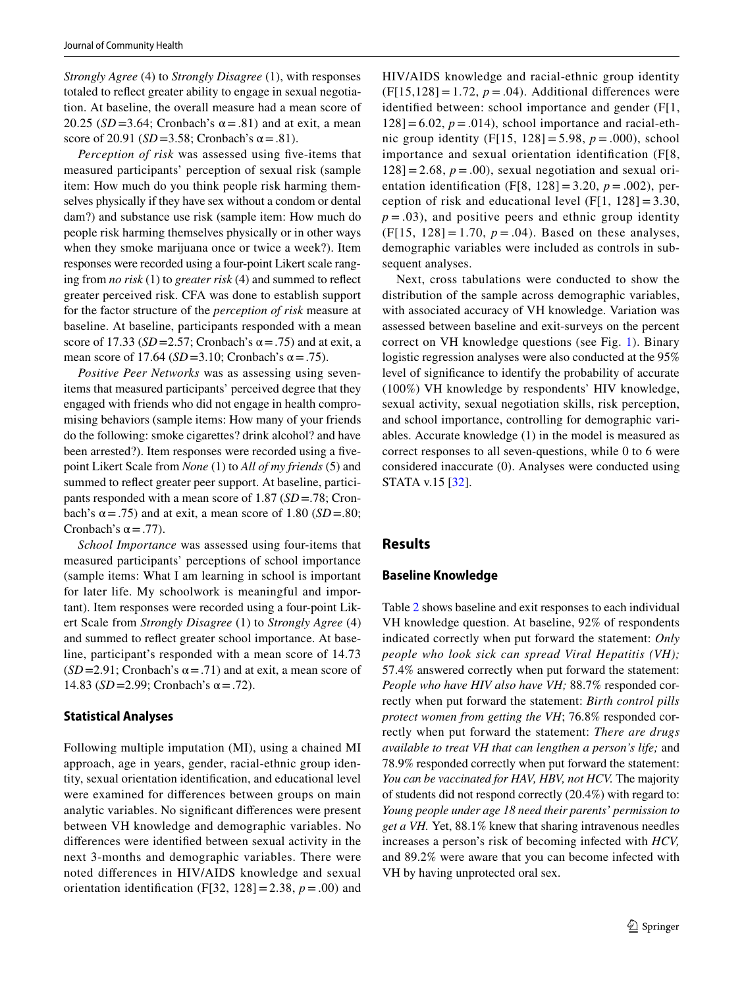*Strongly Agree* (4) to *Strongly Disagree* (1), with responses totaled to refect greater ability to engage in sexual negotiation. At baseline, the overall measure had a mean score of 20.25 ( $SD = 3.64$ ; Cronbach's  $\alpha = .81$ ) and at exit, a mean score of 20.91 ( $SD = 3.58$ ; Cronbach's  $\alpha = .81$ ).

*Perception of risk* was assessed using five-items that measured participants' perception of sexual risk (sample item: How much do you think people risk harming themselves physically if they have sex without a condom or dental dam?) and substance use risk (sample item: How much do people risk harming themselves physically or in other ways when they smoke marijuana once or twice a week?). Item responses were recorded using a four-point Likert scale ranging from *no risk* (1) to *greater risk* (4) and summed to refect greater perceived risk. CFA was done to establish support for the factor structure of the *perception of risk* measure at baseline. At baseline, participants responded with a mean score of 17.33 ( $SD = 2.57$ ; Cronbach's  $\alpha = .75$ ) and at exit, a mean score of 17.64 ( $SD = 3.10$ ; Cronbach's  $\alpha = .75$ ).

*Positive Peer Networks* was as assessing using sevenitems that measured participants' perceived degree that they engaged with friends who did not engage in health compromising behaviors (sample items: How many of your friends do the following: smoke cigarettes? drink alcohol? and have been arrested?). Item responses were recorded using a fvepoint Likert Scale from *None* (1) to *All of my friends* (5) and summed to refect greater peer support. At baseline, participants responded with a mean score of 1.87 (*SD*=.78; Cronbach's  $\alpha$  = .75) and at exit, a mean score of 1.80 (*SD* = .80; Cronbach's  $\alpha = .77$ ).

*School Importance* was assessed using four-items that measured participants' perceptions of school importance (sample items: What I am learning in school is important for later life. My schoolwork is meaningful and important). Item responses were recorded using a four-point Likert Scale from *Strongly Disagree* (1) to *Strongly Agree* (4) and summed to refect greater school importance. At baseline, participant's responded with a mean score of 14.73  $(SD=2.91;$  Cronbach's  $\alpha = .71$ ) and at exit, a mean score of 14.83 (*SD* = 2.99; Cronbach's α = .72).

### **Statistical Analyses**

Following multiple imputation (MI), using a chained MI approach, age in years, gender, racial-ethnic group identity, sexual orientation identifcation, and educational level were examined for diferences between groups on main analytic variables. No signifcant diferences were present between VH knowledge and demographic variables. No diferences were identifed between sexual activity in the next 3-months and demographic variables. There were noted diferences in HIV/AIDS knowledge and sexual orientation identification (F[32, 128] = 2.38,  $p = .00$ ) and HIV/AIDS knowledge and racial-ethnic group identity  $(F[15,128] = 1.72, p = .04)$ . Additional differences were identifed between: school importance and gender (F[1,  $128$ ]=6.02,  $p = .014$ ), school importance and racial-ethnic group identity (F[15, 128] = 5.98, *p* = .000), school importance and sexual orientation identifcation (F[8,  $128$ ] = 2.68,  $p = .00$ ), sexual negotiation and sexual orientation identifcation (F[8, 128] = 3.20, *p* = .002), perception of risk and educational level (F[1,  $128$ ] = 3.30,  $p = .03$ ), and positive peers and ethnic group identity (F[15, 128] = 1.70,  $p = .04$ ). Based on these analyses, demographic variables were included as controls in subsequent analyses.

Next, cross tabulations were conducted to show the distribution of the sample across demographic variables, with associated accuracy of VH knowledge. Variation was assessed between baseline and exit-surveys on the percent correct on VH knowledge questions (see Fig. [1](#page-5-0)). Binary logistic regression analyses were also conducted at the 95% level of signifcance to identify the probability of accurate (100%) VH knowledge by respondents' HIV knowledge, sexual activity, sexual negotiation skills, risk perception, and school importance, controlling for demographic variables. Accurate knowledge (1) in the model is measured as correct responses to all seven-questions, while 0 to 6 were considered inaccurate (0). Analyses were conducted using STATA v.15 [[32](#page-7-28)].

# **Results**

#### **Baseline Knowledge**

Table [2](#page-2-0) shows baseline and exit responses to each individual VH knowledge question. At baseline, 92% of respondents indicated correctly when put forward the statement: *Only people who look sick can spread Viral Hepatitis (VH);* 57.4% answered correctly when put forward the statement: *People who have HIV also have VH;* 88.7% responded correctly when put forward the statement: *Birth control pills protect women from getting the VH*; 76.8% responded correctly when put forward the statement: *There are drugs available to treat VH that can lengthen a person's life;* and 78.9% responded correctly when put forward the statement: *You can be vaccinated for HAV, HBV, not HCV.* The majority of students did not respond correctly (20.4%) with regard to: *Young people under age 18 need their parents' permission to get a VH.* Yet, 88.1% knew that sharing intravenous needles increases a person's risk of becoming infected with *HCV,* and 89.2% were aware that you can become infected with VH by having unprotected oral sex.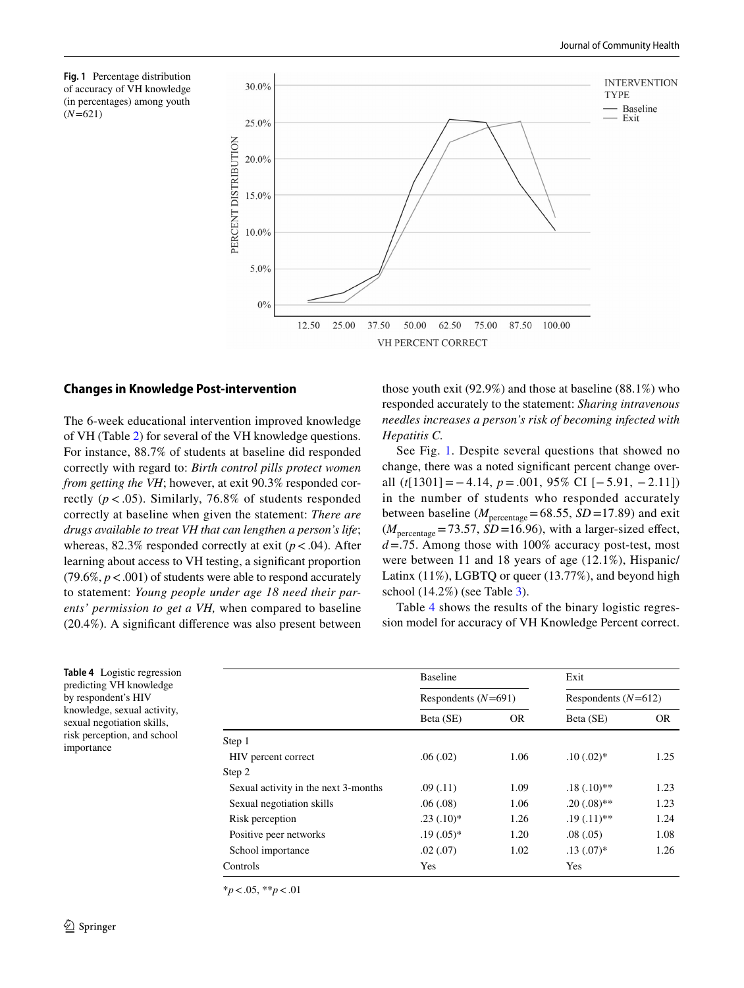<span id="page-5-0"></span>



### **Changes in Knowledge Post‑intervention**

The 6-week educational intervention improved knowledge of VH (Table [2\)](#page-2-0) for several of the VH knowledge questions. For instance, 88.7% of students at baseline did responded correctly with regard to: *Birth control pills protect women from getting the VH*; however, at exit 90.3% responded correctly  $(p < .05)$ . Similarly, 76.8% of students responded correctly at baseline when given the statement: *There are drugs available to treat VH that can lengthen a person's life*; whereas,  $82.3\%$  responded correctly at exit ( $p < .04$ ). After learning about access to VH testing, a signifcant proportion  $(79.6\%, p < .001)$  of students were able to respond accurately to statement: *Young people under age 18 need their parents' permission to get a VH,* when compared to baseline (20.4%). A signifcant diference was also present between those youth exit (92.9%) and those at baseline (88.1%) who responded accurately to the statement: *Sharing intravenous needles increases a person's risk of becoming infected with Hepatitis C.*

See Fig. [1.](#page-5-0) Despite several questions that showed no change, there was a noted signifcant percent change overall (*t*[1301]=−4.14, *p*=.001, 95% CI [−5.91, −2.11]) in the number of students who responded accurately between baseline ( $M_{\text{percentage}}$ =68.55, *SD*=17.89) and exit  $(M_{\text{percentage}} = 73.57, SD = 16.96)$ , with a larger-sized effect, *d*=.75. Among those with 100% accuracy post-test, most were between 11 and 18 years of age (12.1%), Hispanic/ Latinx (11%), LGBTQ or queer (13.77%), and beyond high school (14.2%) (see Table [3](#page-3-0)).

Table [4](#page-5-1) shows the results of the binary logistic regression model for accuracy of VH Knowledge Percent correct.

|                                      | <b>Baseline</b><br>Respondents $(N=691)$ |           | Exit<br>Respondents $(N=612)$ |           |  |
|--------------------------------------|------------------------------------------|-----------|-------------------------------|-----------|--|
|                                      |                                          |           |                               |           |  |
|                                      | Beta (SE)                                | <b>OR</b> | Beta (SE)                     | <b>OR</b> |  |
| Step 1                               |                                          |           |                               |           |  |
| HIV percent correct                  | .06(.02)                                 | 1.06      | $.10(.02)$ *                  | 1.25      |  |
| Step 2                               |                                          |           |                               |           |  |
| Sexual activity in the next 3-months | .09(0.11)                                | 1.09      | $.18(.10)**$                  | 1.23      |  |
| Sexual negotiation skills            | .06(.08)                                 | 1.06      | $.20(0.08)$ **                | 1.23      |  |
| Risk perception                      | $.23(.10)*$                              | 1.26      | $.19(.11)**$                  | 1.24      |  |
| Positive peer networks               | $.19(.05)^*$                             | 1.20      | .08(.05)                      | 1.08      |  |
| School importance                    | .02(.07)                                 | 1.02      | $.13(0.07)*$                  | 1.26      |  |
| Controls                             | Yes                                      |           | Yes                           |           |  |

\**p*<.05, \*\**p*<.01

importance

<span id="page-5-1"></span>**Table 4** Logistic regression predicting VH knowledge by respondent's HIV knowledge, sexual activity, sexual negotiation skills, risk perception, and school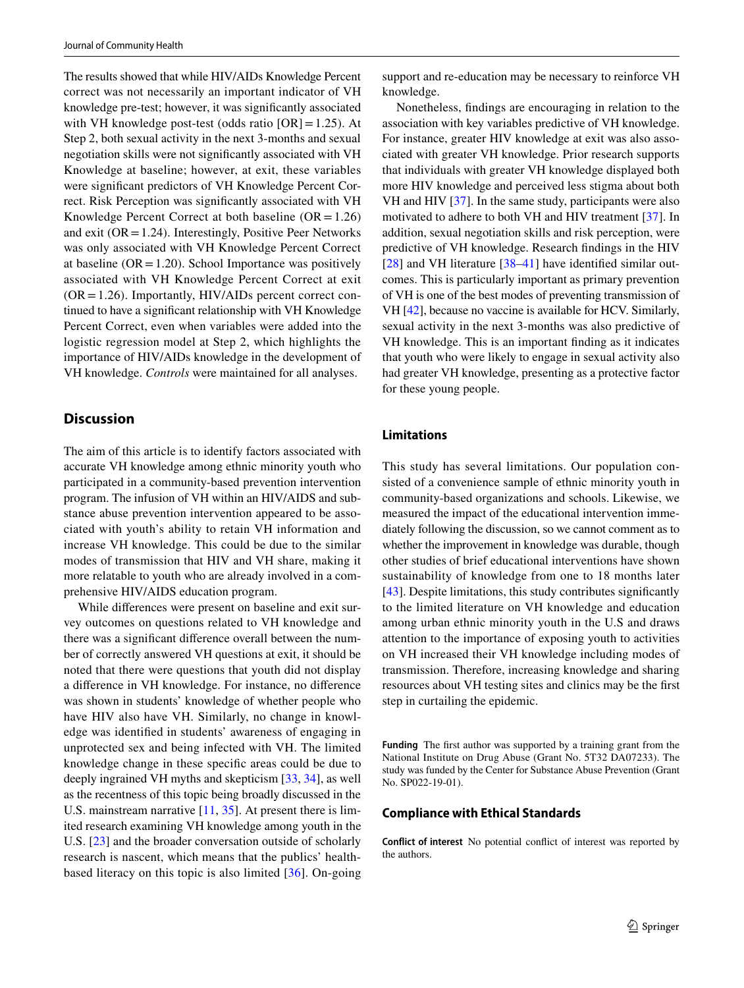The results showed that while HIV/AIDs Knowledge Percent correct was not necessarily an important indicator of VH knowledge pre-test; however, it was signifcantly associated with VH knowledge post-test (odds ratio  $[OR]=1.25$ ). At Step 2, both sexual activity in the next 3-months and sexual negotiation skills were not signifcantly associated with VH Knowledge at baseline; however, at exit, these variables were signifcant predictors of VH Knowledge Percent Correct. Risk Perception was signifcantly associated with VH Knowledge Percent Correct at both baseline  $(OR = 1.26)$ and exit ( $OR = 1.24$ ). Interestingly, Positive Peer Networks was only associated with VH Knowledge Percent Correct at baseline  $(OR = 1.20)$ . School Importance was positively associated with VH Knowledge Percent Correct at exit  $(OR = 1.26)$ . Importantly, HIV/AIDs percent correct continued to have a signifcant relationship with VH Knowledge Percent Correct, even when variables were added into the logistic regression model at Step 2, which highlights the importance of HIV/AIDs knowledge in the development of VH knowledge. *Controls* were maintained for all analyses.

# **Discussion**

The aim of this article is to identify factors associated with accurate VH knowledge among ethnic minority youth who participated in a community-based prevention intervention program. The infusion of VH within an HIV/AIDS and substance abuse prevention intervention appeared to be associated with youth's ability to retain VH information and increase VH knowledge. This could be due to the similar modes of transmission that HIV and VH share, making it more relatable to youth who are already involved in a comprehensive HIV/AIDS education program.

While diferences were present on baseline and exit survey outcomes on questions related to VH knowledge and there was a signifcant diference overall between the number of correctly answered VH questions at exit, it should be noted that there were questions that youth did not display a diference in VH knowledge. For instance, no diference was shown in students' knowledge of whether people who have HIV also have VH. Similarly, no change in knowledge was identifed in students' awareness of engaging in unprotected sex and being infected with VH. The limited knowledge change in these specifc areas could be due to deeply ingrained VH myths and skepticism [[33,](#page-7-29) [34](#page-7-30)], as well as the recentness of this topic being broadly discussed in the U.S. mainstream narrative [[11,](#page-7-10) [35\]](#page-8-0). At present there is limited research examining VH knowledge among youth in the U.S. [[23\]](#page-7-22) and the broader conversation outside of scholarly research is nascent, which means that the publics' healthbased literacy on this topic is also limited [[36](#page-8-1)]. On-going support and re-education may be necessary to reinforce VH knowledge.

Nonetheless, fndings are encouraging in relation to the association with key variables predictive of VH knowledge. For instance, greater HIV knowledge at exit was also associated with greater VH knowledge. Prior research supports that individuals with greater VH knowledge displayed both more HIV knowledge and perceived less stigma about both VH and HIV [\[37\]](#page-8-2). In the same study, participants were also motivated to adhere to both VH and HIV treatment [\[37\]](#page-8-2). In addition, sexual negotiation skills and risk perception, were predictive of VH knowledge. Research fndings in the HIV [[28\]](#page-7-24) and VH literature [\[38](#page-8-3)[–41\]](#page-8-4) have identified similar outcomes. This is particularly important as primary prevention of VH is one of the best modes of preventing transmission of VH [\[42\]](#page-8-5), because no vaccine is available for HCV. Similarly, sexual activity in the next 3-months was also predictive of VH knowledge. This is an important fnding as it indicates that youth who were likely to engage in sexual activity also had greater VH knowledge, presenting as a protective factor for these young people.

# **Limitations**

This study has several limitations. Our population consisted of a convenience sample of ethnic minority youth in community-based organizations and schools. Likewise, we measured the impact of the educational intervention immediately following the discussion, so we cannot comment as to whether the improvement in knowledge was durable, though other studies of brief educational interventions have shown sustainability of knowledge from one to 18 months later [\[43](#page-8-6)]. Despite limitations, this study contributes significantly to the limited literature on VH knowledge and education among urban ethnic minority youth in the U.S and draws attention to the importance of exposing youth to activities on VH increased their VH knowledge including modes of transmission. Therefore, increasing knowledge and sharing resources about VH testing sites and clinics may be the frst step in curtailing the epidemic.

**Funding** The frst author was supported by a training grant from the National Institute on Drug Abuse (Grant No. 5T32 DA07233). The study was funded by the Center for Substance Abuse Prevention (Grant No. SP022-19-01).

### **Compliance with Ethical Standards**

**Conflict of interest** No potential confict of interest was reported by the authors.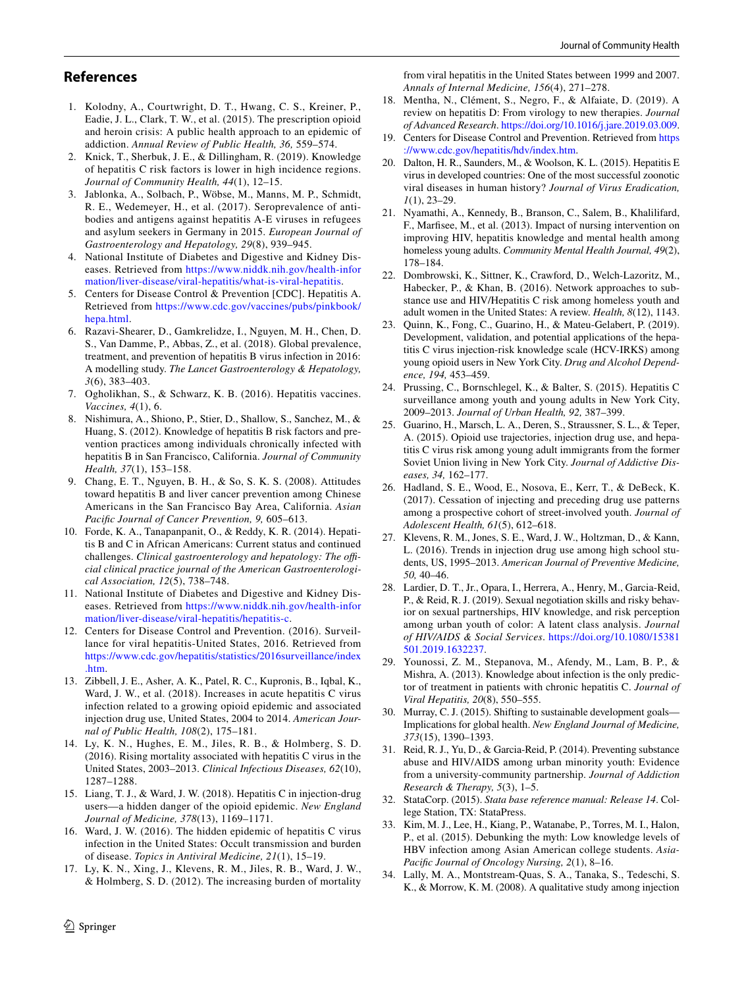# **References**

- <span id="page-7-0"></span>1. Kolodny, A., Courtwright, D. T., Hwang, C. S., Kreiner, P., Eadie, J. L., Clark, T. W., et al. (2015). The prescription opioid and heroin crisis: A public health approach to an epidemic of addiction. *Annual Review of Public Health, 36,* 559–574.
- <span id="page-7-1"></span>2. Knick, T., Sherbuk, J. E., & Dillingham, R. (2019). Knowledge of hepatitis C risk factors is lower in high incidence regions. *Journal of Community Health, 44*(1), 12–15.
- <span id="page-7-2"></span>3. Jablonka, A., Solbach, P., Wöbse, M., Manns, M. P., Schmidt, R. E., Wedemeyer, H., et al. (2017). Seroprevalence of antibodies and antigens against hepatitis A-E viruses in refugees and asylum seekers in Germany in 2015. *European Journal of Gastroenterology and Hepatology, 29*(8), 939–945.
- <span id="page-7-3"></span>4. National Institute of Diabetes and Digestive and Kidney Diseases. Retrieved from [https://www.niddk.nih.gov/health-infor](https://www.niddk.nih.gov/health-information/liver-disease/viral-hepatitis/what-is-viral-hepatitis) [mation/liver-disease/viral-hepatitis/what-is-viral-hepatitis](https://www.niddk.nih.gov/health-information/liver-disease/viral-hepatitis/what-is-viral-hepatitis).
- <span id="page-7-4"></span>5. Centers for Disease Control & Prevention [CDC]. Hepatitis A. Retrieved from [https://www.cdc.gov/vaccines/pubs/pinkbook/](https://www.cdc.gov/vaccines/pubs/pinkbook/hepa.html) [hepa.html](https://www.cdc.gov/vaccines/pubs/pinkbook/hepa.html).
- <span id="page-7-5"></span>6. Razavi-Shearer, D., Gamkrelidze, I., Nguyen, M. H., Chen, D. S., Van Damme, P., Abbas, Z., et al. (2018). Global prevalence, treatment, and prevention of hepatitis B virus infection in 2016: A modelling study. *The Lancet Gastroenterology & Hepatology, 3*(6), 383–403.
- <span id="page-7-6"></span>7. Ogholikhan, S., & Schwarz, K. B. (2016). Hepatitis vaccines. *Vaccines, 4*(1), 6.
- <span id="page-7-7"></span>8. Nishimura, A., Shiono, P., Stier, D., Shallow, S., Sanchez, M., & Huang, S. (2012). Knowledge of hepatitis B risk factors and prevention practices among individuals chronically infected with hepatitis B in San Francisco, California. *Journal of Community Health, 37*(1), 153–158.
- <span id="page-7-9"></span>9. Chang, E. T., Nguyen, B. H., & So, S. K. S. (2008). Attitudes toward hepatitis B and liver cancer prevention among Chinese Americans in the San Francisco Bay Area, California. *Asian Pacifc Journal of Cancer Prevention, 9,* 605–613.
- <span id="page-7-8"></span>10. Forde, K. A., Tanapanpanit, O., & Reddy, K. R. (2014). Hepatitis B and C in African Americans: Current status and continued challenges. *Clinical gastroenterology and hepatology: The official clinical practice journal of the American Gastroenterological Association, 12*(5), 738–748.
- <span id="page-7-10"></span>11. National Institute of Diabetes and Digestive and Kidney Diseases. Retrieved from [https://www.niddk.nih.gov/health-infor](https://www.niddk.nih.gov/health-information/liver-disease/viral-hepatitis/hepatitis-c) [mation/liver-disease/viral-hepatitis/hepatitis-c.](https://www.niddk.nih.gov/health-information/liver-disease/viral-hepatitis/hepatitis-c)
- <span id="page-7-11"></span>12. Centers for Disease Control and Prevention. (2016). Surveillance for viral hepatitis-United States, 2016. Retrieved from [https://www.cdc.gov/hepatitis/statistics/2016surveillance/index](https://www.cdc.gov/hepatitis/statistics/2016surveillance/index.htm) [.htm](https://www.cdc.gov/hepatitis/statistics/2016surveillance/index.htm).
- <span id="page-7-12"></span>13. Zibbell, J. E., Asher, A. K., Patel, R. C., Kupronis, B., Iqbal, K., Ward, J. W., et al. (2018). Increases in acute hepatitis C virus infection related to a growing opioid epidemic and associated injection drug use, United States, 2004 to 2014. *American Journal of Public Health, 108*(2), 175–181.
- <span id="page-7-13"></span>14. Ly, K. N., Hughes, E. M., Jiles, R. B., & Holmberg, S. D. (2016). Rising mortality associated with hepatitis C virus in the United States, 2003–2013. *Clinical Infectious Diseases, 62*(10), 1287–1288.
- <span id="page-7-14"></span>15. Liang, T. J., & Ward, J. W. (2018). Hepatitis C in injection-drug users—a hidden danger of the opioid epidemic. *New England Journal of Medicine, 378*(13), 1169–1171.
- <span id="page-7-15"></span>16. Ward, J. W. (2016). The hidden epidemic of hepatitis C virus infection in the United States: Occult transmission and burden of disease. *Topics in Antiviral Medicine, 21*(1), 15–19.
- <span id="page-7-16"></span>17. Ly, K. N., Xing, J., Klevens, R. M., Jiles, R. B., Ward, J. W., & Holmberg, S. D. (2012). The increasing burden of mortality

from viral hepatitis in the United States between 1999 and 2007. *Annals of Internal Medicine, 156*(4), 271–278.

- <span id="page-7-17"></span>18. Mentha, N., Clément, S., Negro, F., & Alfaiate, D. (2019). A review on hepatitis D: From virology to new therapies. *Journal of Advanced Research*.<https://doi.org/10.1016/j.jare.2019.03.009>.
- <span id="page-7-18"></span>19. Centers for Disease Control and Prevention. Retrieved from [https](https://www.cdc.gov/hepatitis/hdv/index.htm) [://www.cdc.gov/hepatitis/hdv/index.htm](https://www.cdc.gov/hepatitis/hdv/index.htm).
- <span id="page-7-19"></span>20. Dalton, H. R., Saunders, M., & Woolson, K. L. (2015). Hepatitis E virus in developed countries: One of the most successful zoonotic viral diseases in human history? *Journal of Virus Eradication, 1*(1), 23–29.
- <span id="page-7-20"></span>21. Nyamathi, A., Kennedy, B., Branson, C., Salem, B., Khalilifard, F., Marfsee, M., et al. (2013). Impact of nursing intervention on improving HIV, hepatitis knowledge and mental health among homeless young adults. *Community Mental Health Journal, 49*(2), 178–184.
- <span id="page-7-21"></span>22. Dombrowski, K., Sittner, K., Crawford, D., Welch-Lazoritz, M., Habecker, P., & Khan, B. (2016). Network approaches to substance use and HIV/Hepatitis C risk among homeless youth and adult women in the United States: A review. *Health, 8*(12), 1143.
- <span id="page-7-22"></span>23. Quinn, K., Fong, C., Guarino, H., & Mateu-Gelabert, P. (2019). Development, validation, and potential applications of the hepatitis C virus injection-risk knowledge scale (HCV-IRKS) among young opioid users in New York City. *Drug and Alcohol Dependence, 194,* 453–459.
- 24. Prussing, C., Bornschlegel, K., & Balter, S. (2015). Hepatitis C surveillance among youth and young adults in New York City, 2009–2013. *Journal of Urban Health, 92,* 387–399.
- 25. Guarino, H., Marsch, L. A., Deren, S., Straussner, S. L., & Teper, A. (2015). Opioid use trajectories, injection drug use, and hepatitis C virus risk among young adult immigrants from the former Soviet Union living in New York City. *Journal of Addictive Diseases, 34,* 162–177.
- 26. Hadland, S. E., Wood, E., Nosova, E., Kerr, T., & DeBeck, K. (2017). Cessation of injecting and preceding drug use patterns among a prospective cohort of street-involved youth. *Journal of Adolescent Health, 61*(5), 612–618.
- <span id="page-7-23"></span>27. Klevens, R. M., Jones, S. E., Ward, J. W., Holtzman, D., & Kann, L. (2016). Trends in injection drug use among high school students, US, 1995–2013. *American Journal of Preventive Medicine, 50,* 40–46.
- <span id="page-7-24"></span>28. Lardier, D. T., Jr., Opara, I., Herrera, A., Henry, M., Garcia-Reid, P., & Reid, R. J. (2019). Sexual negotiation skills and risky behavior on sexual partnerships, HIV knowledge, and risk perception among urban youth of color: A latent class analysis. *Journal of HIV/AIDS & Social Services*. [https://doi.org/10.1080/15381](https://doi.org/10.1080/15381501.2019.1632237) [501.2019.1632237.](https://doi.org/10.1080/15381501.2019.1632237)
- <span id="page-7-25"></span>29. Younossi, Z. M., Stepanova, M., Afendy, M., Lam, B. P., & Mishra, A. (2013). Knowledge about infection is the only predictor of treatment in patients with chronic hepatitis C. *Journal of Viral Hepatitis, 20*(8), 550–555.
- <span id="page-7-26"></span>30. Murray, C. J. (2015). Shifting to sustainable development goals— Implications for global health. *New England Journal of Medicine, 373*(15), 1390–1393.
- <span id="page-7-27"></span>31. Reid, R. J., Yu, D., & Garcia-Reid, P. (2014). Preventing substance abuse and HIV/AIDS among urban minority youth: Evidence from a university-community partnership. *Journal of Addiction Research & Therapy, 5*(3), 1–5.
- <span id="page-7-28"></span>32. StataCorp. (2015). *Stata base reference manual: Release 14*. College Station, TX: StataPress.
- <span id="page-7-29"></span>33. Kim, M. J., Lee, H., Kiang, P., Watanabe, P., Torres, M. I., Halon, P., et al. (2015). Debunking the myth: Low knowledge levels of HBV infection among Asian American college students. *Asia-Pacifc Journal of Oncology Nursing, 2*(1), 8–16.
- <span id="page-7-30"></span>34. Lally, M. A., Montstream-Quas, S. A., Tanaka, S., Tedeschi, S. K., & Morrow, K. M. (2008). A qualitative study among injection